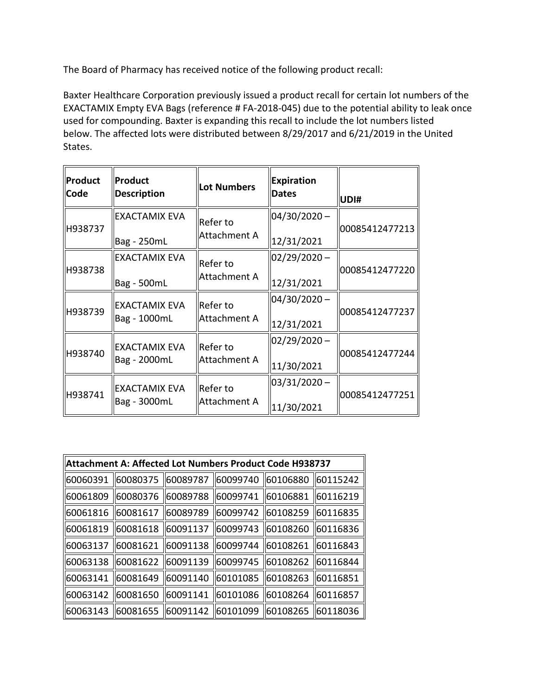The Board of Pharmacy has received notice of the following product recall:

 Baxter Healthcare Corporation previously issued a product recall for certain lot numbers of the EXACTAMIX Empty EVA Bags (reference # FA-2018-045) due to the potential ability to leak once used for compounding. Baxter is expanding this recall to include the lot numbers listed below. The affected lots were distributed between 8/29/2017 and 6/21/2019 in the United States.

| <b>Product</b><br>Code | Product<br><b>Description</b>        | <b>Lot Numbers</b>       | <b>Expiration</b><br><b>Dates</b> | UDI#           |
|------------------------|--------------------------------------|--------------------------|-----------------------------------|----------------|
| H938737                | <b>EXACTAMIX EVA</b><br>Bag - 250mL  | Refer to<br>Attachment A | $04/30/2020 -$<br>12/31/2021      | 00085412477213 |
| H938738                | <b>EXACTAMIX EVA</b><br>Bag - 500mL  | Refer to<br>Attachment A | $02/29/2020 -$<br>12/31/2021      | 00085412477220 |
| H938739                | <b>EXACTAMIX EVA</b><br>Bag - 1000mL | Refer to<br>Attachment A | 04/30/2020-<br>12/31/2021         | 00085412477237 |
| H938740                | <b>EXACTAMIX EVA</b><br>Bag - 2000mL | Refer to<br>Attachment A | $02/29/2020 -$<br>11/30/2021      | 00085412477244 |
| H938741                | <b>EXACTAMIX EVA</b><br>Bag - 3000mL | Refer to<br>Attachment A | $03/31/2020 -$<br>11/30/2021      | 00085412477251 |

| Attachment A: Affected Lot Numbers Product Code H938737 |           |                   |          |                    |           |
|---------------------------------------------------------|-----------|-------------------|----------|--------------------|-----------|
| 160060391                                               | 60080375  | 60089787          | 60099740 | 60106880           | 60115242  |
| 60061809                                                | 60080376  | 60089788          | 60099741 | 60106881           | 60116219  |
| 60061816                                                | 60081617  | 60089789          | 60099742 | 60108259           | 60116835  |
| 60061819                                                | 60081618  | 60091137          | 60099743 | 60108260           | 60116836  |
| 60063137                                                | 60081621  | 60091138          | 60099744 | 60108261           | 160116843 |
| 60063138                                                | 60081622  | 60091139          | 60099745 | 60108262           | 160116844 |
| 60063141                                                | 160081649 | 60091140          | 60101085 | 60108263           | 60116851  |
| 60063142                                                | 160081650 | 60091141          | 60101086 | 60108264           | 60116857  |
| 60063143                                                | 60081655  | 60091142 60101099 |          | 60108265  60118036 |           |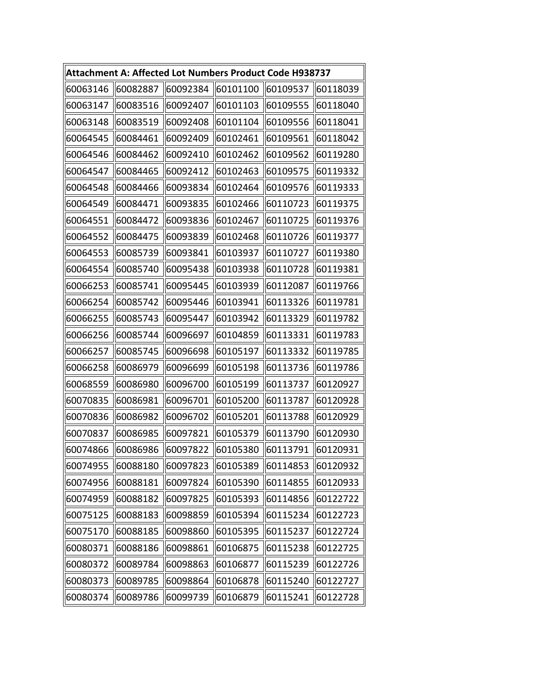|          |          |          | Attachment A: Affected Lot Numbers Product Code H938737 |          |          |
|----------|----------|----------|---------------------------------------------------------|----------|----------|
| 60063146 | 60082887 | 60092384 | 60101100                                                | 60109537 | 60118039 |
| 60063147 | 60083516 | 60092407 | 60101103                                                | 60109555 | 60118040 |
| 60063148 | 60083519 | 60092408 | 60101104                                                | 60109556 | 60118041 |
| 60064545 | 60084461 | 60092409 | 60102461                                                | 60109561 | 60118042 |
| 60064546 | 60084462 | 60092410 | 60102462                                                | 60109562 | 60119280 |
| 60064547 | 60084465 | 60092412 | 60102463                                                | 60109575 | 60119332 |
| 60064548 | 60084466 | 60093834 | 60102464                                                | 60109576 | 60119333 |
| 60064549 | 60084471 | 60093835 | 60102466                                                | 60110723 | 60119375 |
| 60064551 | 60084472 | 60093836 | 60102467                                                | 60110725 | 60119376 |
| 60064552 | 60084475 | 60093839 | 60102468                                                | 60110726 | 60119377 |
| 60064553 | 60085739 | 60093841 | 60103937                                                | 60110727 | 60119380 |
| 60064554 | 60085740 | 60095438 | 60103938                                                | 60110728 | 60119381 |
| 60066253 | 60085741 | 60095445 | 60103939                                                | 60112087 | 60119766 |
| 60066254 | 60085742 | 60095446 | 60103941                                                | 60113326 | 60119781 |
| 60066255 | 60085743 | 60095447 | 60103942                                                | 60113329 | 60119782 |
| 60066256 | 60085744 | 60096697 | 60104859                                                | 60113331 | 60119783 |
| 60066257 | 60085745 | 60096698 | 60105197                                                | 60113332 | 60119785 |
| 60066258 | 60086979 | 60096699 | 60105198                                                | 60113736 | 60119786 |
| 60068559 | 60086980 | 60096700 | 60105199                                                | 60113737 | 60120927 |
| 60070835 | 60086981 | 60096701 | 60105200                                                | 60113787 | 60120928 |
| 60070836 | 60086982 | 60096702 | 60105201                                                | 60113788 | 60120929 |
| 60070837 | 60086985 | 60097821 | 60105379                                                | 60113790 | 60120930 |
| 60074866 | 60086986 | 60097822 | 60105380                                                | 60113791 | 60120931 |
| 60074955 | 60088180 | 60097823 | 60105389                                                | 60114853 | 60120932 |
| 60074956 | 60088181 | 60097824 | 60105390                                                | 60114855 | 60120933 |
| 60074959 | 60088182 | 60097825 | 60105393                                                | 60114856 | 60122722 |
| 60075125 | 60088183 | 60098859 | 60105394                                                | 60115234 | 60122723 |
| 60075170 | 60088185 | 60098860 | 60105395                                                | 60115237 | 60122724 |
| 60080371 | 60088186 | 60098861 | 60106875                                                | 60115238 | 60122725 |
| 60080372 | 60089784 | 60098863 | 60106877                                                | 60115239 | 60122726 |
| 60080373 | 60089785 | 60098864 | 60106878                                                | 60115240 | 60122727 |
| 60080374 | 60089786 | 60099739 | 60106879                                                | 60115241 | 60122728 |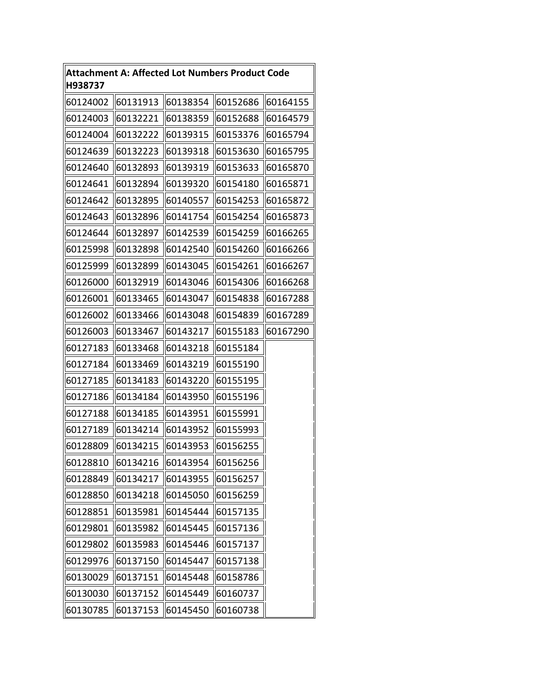| H938737  | <b>Attachment A: Affected Lot Numbers Product Code</b> |          |          |          |
|----------|--------------------------------------------------------|----------|----------|----------|
| 60124002 | 60131913                                               | 60138354 | 60152686 | 60164155 |
| 60124003 | 60132221                                               | 60138359 | 60152688 | 60164579 |
| 60124004 | 60132222                                               | 60139315 | 60153376 | 60165794 |
| 60124639 | 60132223                                               | 60139318 | 60153630 | 60165795 |
| 60124640 | 60132893                                               | 60139319 | 60153633 | 60165870 |
| 60124641 | 60132894                                               | 60139320 | 60154180 | 60165871 |
| 60124642 | 60132895                                               | 60140557 | 60154253 | 60165872 |
| 60124643 | 60132896                                               | 60141754 | 60154254 | 60165873 |
| 60124644 | 60132897                                               | 60142539 | 60154259 | 60166265 |
| 60125998 | 60132898                                               | 60142540 | 60154260 | 60166266 |
| 60125999 | 60132899                                               | 60143045 | 60154261 | 60166267 |
| 60126000 | 60132919                                               | 60143046 | 60154306 | 60166268 |
| 60126001 | 60133465                                               | 60143047 | 60154838 | 60167288 |
| 60126002 | 60133466                                               | 60143048 | 60154839 | 60167289 |
| 60126003 | 60133467                                               | 60143217 | 60155183 | 60167290 |
| 60127183 | 60133468                                               | 60143218 | 60155184 |          |
| 60127184 | 60133469                                               | 60143219 | 60155190 |          |
| 60127185 | 60134183                                               | 60143220 | 60155195 |          |
| 60127186 | 60134184                                               | 60143950 | 60155196 |          |
| 60127188 | 60134185                                               | 60143951 | 60155991 |          |
| 60127189 | 60134214                                               | 60143952 | 60155993 |          |
| 60128809 | 60134215                                               | 60143953 | 60156255 |          |
| 60128810 | 60134216                                               | 60143954 | 60156256 |          |
| 60128849 | 60134217                                               | 60143955 | 60156257 |          |
| 60128850 | 60134218                                               | 60145050 | 60156259 |          |
| 60128851 | 60135981                                               | 60145444 | 60157135 |          |
| 60129801 | 60135982                                               | 60145445 | 60157136 |          |
| 60129802 | 60135983                                               | 60145446 | 60157137 |          |
| 60129976 | 60137150                                               | 60145447 | 60157138 |          |
| 60130029 | 60137151                                               | 60145448 | 60158786 |          |
| 60130030 | 60137152                                               | 60145449 | 60160737 |          |
| 60130785 | 60137153                                               | 60145450 | 60160738 |          |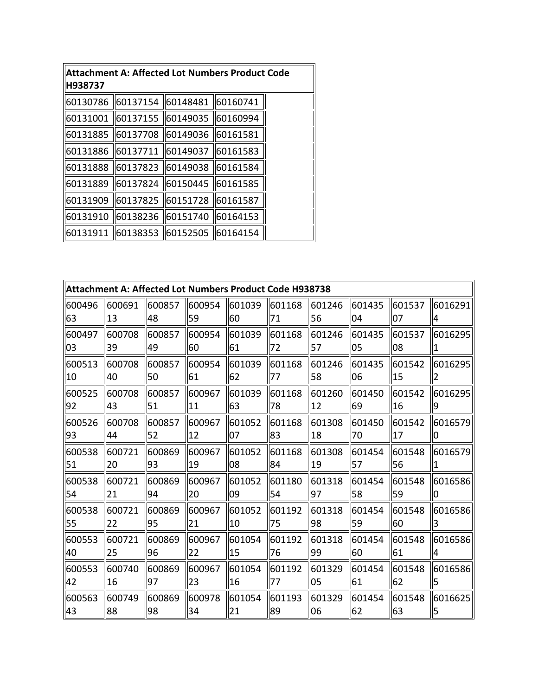| H938737  | Attachment A: Affected Lot Numbers Product Code |          |          |  |  |  |  |  |  |  |  |
|----------|-------------------------------------------------|----------|----------|--|--|--|--|--|--|--|--|
| 60130786 | 60137154                                        | 60148481 | 60160741 |  |  |  |  |  |  |  |  |
| 60131001 | 60137155                                        | 60149035 | 60160994 |  |  |  |  |  |  |  |  |
| 60131885 | 60137708                                        | 60149036 | 60161581 |  |  |  |  |  |  |  |  |
| 60131886 | 60137711                                        | 60149037 | 60161583 |  |  |  |  |  |  |  |  |
| 60131888 | 60137823                                        | 60149038 | 60161584 |  |  |  |  |  |  |  |  |
| 60131889 | 60137824                                        | 60150445 | 60161585 |  |  |  |  |  |  |  |  |
| 60131909 | 60137825                                        | 60151728 | 60161587 |  |  |  |  |  |  |  |  |
| 60131910 | 60138236                                        | 60151740 | 60164153 |  |  |  |  |  |  |  |  |
| 60131911 | 60138353                                        | 60152505 | 60164154 |  |  |  |  |  |  |  |  |

|        |        |         | Attachment A: Affected Lot Numbers Product Code H938738 |        |         |        |        |        |         |
|--------|--------|---------|---------------------------------------------------------|--------|---------|--------|--------|--------|---------|
| 600496 | 600691 | 600857  | 600954                                                  | 601039 | 601168  | 601246 | 601435 | 601537 | 6016291 |
| 63     | 13     | 48      | 59                                                      | 60     | 71      | 56     | 04     | 07     | 4       |
| 600497 | 600708 | 1600857 | 600954                                                  | 601039 | 601168  | 601246 | 601435 | 601537 | 6016295 |
| 03     | 39     | 49      | 60                                                      | 61     | 72      | 57     | 05     | 08     | 1       |
| 600513 | 600708 | 600857  | 600954                                                  | 601039 | 1601168 | 601246 | 601435 | 601542 | 6016295 |
| 10     | 40     | 50      | 61                                                      | 62     | 77      | 58     | 06     | 15     | 2       |
| 600525 | 600708 | 1600857 | 600967                                                  | 601039 | 1601168 | 601260 | 601450 | 601542 | 6016295 |
| 92     | 43     | 51      | 11                                                      | 63     | 78      | 12     | 69     | 16     | 9       |
| 600526 | 600708 | 600857  | 600967                                                  | 601052 | 601168  | 601308 | 601450 | 601542 | 6016579 |
| 93     | 44     | 52      | 12                                                      | 07     | 83      | 18     | 70     | 17     | n       |
| 600538 | 600721 | 600869  | 600967                                                  | 601052 | 601168  | 601308 | 601454 | 601548 | 6016579 |
| 51     | 20     | 93      | 19                                                      | 08     | 84      | 19     | 57     | 56     | 1       |
| 600538 | 600721 | 600869  | 1600967                                                 | 601052 | 601180  | 601318 | 601454 | 601548 | 6016586 |
| 54     | 21     | 94      | 20                                                      | 09     | 54      | 97     | 58     | 59     | n       |
| 600538 | 600721 | 1600869 | 600967                                                  | 601052 | 601192  | 601318 | 601454 | 601548 | 6016586 |
| 55     | 22     | 95      | 21                                                      | 10     | 75      | 98     | 59     | 60     | 3       |
| 600553 | 600721 | 1600869 | 600967                                                  | 601054 | 601192  | 601318 | 601454 | 601548 | 6016586 |
| 40     | 25     | 96      | 22                                                      | 15     | 76      | 99     | 60     | 61     | 4       |
| 600553 | 600740 | 1600869 | 600967                                                  | 601054 | 601192  | 601329 | 601454 | 601548 | 6016586 |
| 42     | 16     | 97      | 23                                                      | 16     | 77      | 05     | 61     | 62     | 5       |
| 600563 | 600749 | 1600869 | 600978                                                  | 601054 | 601193  | 601329 | 601454 | 601548 | 6016625 |
| 43     | 88     | 98      | 34                                                      | 21     | 89      | 06     | 62     | 63     | 5       |

I I I I I I I I I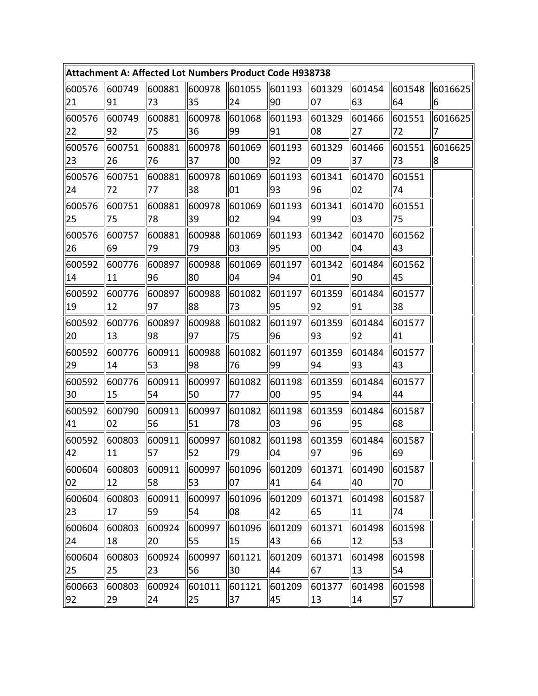|              |                                                                 |              | Attachment A: Affected Lot Numbers Product Code H938738        |                     |        |                       |               |              |         |
|--------------|-----------------------------------------------------------------|--------------|----------------------------------------------------------------|---------------------|--------|-----------------------|---------------|--------------|---------|
| 600576       | 600749                                                          | 600881       | 600978                                                         | 601055              | 601193 | 601329                | 601454        | 601548       | 6016625 |
| 21           | 91                                                              | 73           | 35                                                             | 24                  | 90     | 07                    | 63            | 64           | 6       |
| 600576       | 600749                                                          | 600881       | 600978                                                         | 601068              | 601193 | 601329                | 601466        | 601551       | 6016625 |
| 22           | 92                                                              | 75           | 36                                                             | 99                  | 91     | 08                    | 27            | 72           | 7       |
| 600576       | 600751                                                          | 600881       | 600978                                                         | 601069              | 601193 | 601329                | 601466        | 601551       | 6016625 |
| 23           | 26                                                              | 76           | 37                                                             | 00                  | 92     | 09                    | 37            | 73           | 8       |
| 600576       | 600751                                                          | 600881       | 600978                                                         | 601069              | 601193 | 601341                | 601470        | 601551       |         |
| 24           | 72                                                              | 77           | 38                                                             | 01                  | 93     | 96                    | 02            | 74           |         |
| 600576       | 600751                                                          | 600881       | 600978                                                         | 601069              | 601193 | 601341                | 601470        | 601551       |         |
| 25           | 75                                                              | 78           | 39                                                             | 02                  | 94     | 99                    | 03            | 75           |         |
| 600576       | 600757                                                          | 600881       | 600988                                                         | 601069              | 601193 | 601342                | 601470        | 601562       |         |
| 26           | 69                                                              | 79           | 79                                                             | 03                  | 95     | 00                    | 04            | 43           |         |
| 600592       | 600776                                                          | 600897       | 600988                                                         | 601069              | 601197 | 601342                | 601484        | 601562       |         |
| 14           | 11                                                              | 96           | 80                                                             | 04                  | 94     | 01                    | 90            | 45           |         |
| 600592       | 1600776                                                         | 1600897      | 600988                                                         | 601082              | 601197 | 601359                | 601484        | 601577       |         |
| 19           | $12$                                                            | 97           | 88                                                             | 73                  | 95     | 92                    | 91            | 38           |         |
| 600592       | 600776                                                          | 600897       | 600988                                                         | 601082              | 601197 | 601359                | 601484        | 601577       |         |
| 20           | 13                                                              | 98           | 97                                                             | 75                  | 96     | 93                    | 92            | 41           |         |
| 600592       | 600776                                                          | 1600911      | 600988                                                         | 601082              | 601197 | 601359                | 601484        | 601577       |         |
| 29           | 14                                                              | 53           | 98                                                             | 76                  | 99     | 94                    | 93            | 43           |         |
| 600592       | 600776                                                          | 600911       | 600997                                                         | 601082              | 601198 | 601359                | 601484        | 601577       |         |
| 30           | 15                                                              | 54           | 50                                                             | 77                  | 00     | 95                    | 94            | 44           |         |
| 600592       | 600790                                                          | 600911       | 600997                                                         | 601082              | 601198 | 601359                | 601484        | 601587       |         |
| 41           | 02                                                              | 56           | 51                                                             | 78                  | 03     | 96                    | 95            | 68           |         |
| 600592       | 1600803                                                         | 600911       | 600997                                                         | 601082              | 601198 | 601359                | 601484        | 601587       |         |
| 42           | 11                                                              | $\vert$ 57   | 52                                                             | 79                  | 04     | 97                    | 96            | 69           |         |
| 02           | $\sqrt{600604}$ $\sqrt{600803}$ $\sqrt{600911}$<br>$ 12\rangle$ | 58           | $\parallel$ 600997 $\parallel$ 601096 $\parallel$ 601209<br>53 | 07                  | 41     | 601371   601490<br>64 | 40            | 601587<br>70 |         |
| 600604       | 600803                                                          | 600911       | 600997                                                         | 601096              | 601209 | 601371                | 601498        | 601587       |         |
| 23           | 17                                                              | 59           | 54                                                             | 08                  | 42     | 65                    | 11            | 74           |         |
| 600604       | 600803                                                          | 600924       | 600997                                                         | 601096              | 601209 | 601371                | 601498        | 601598       |         |
| 24           | 18                                                              | 20           | 55                                                             | 15                  | 43     | 66                    | 12            | 53           |         |
| 600604<br>25 | 600803<br>  25                                                  | 600924<br>23 | 600997<br>56                                                   | 601121 601209<br>30 | 44     | 601371<br>67          | 601498<br> 13 | 601598<br>54 |         |
| 600663       | 600803                                                          | 600924       | 601011                                                         | 601121              | 601209 | 601377                | 601498        | 601598       |         |
| 92           | $ 29\rangle$                                                    | 24           | 25                                                             | 37                  | 45     | 13                    | 14            | 57           |         |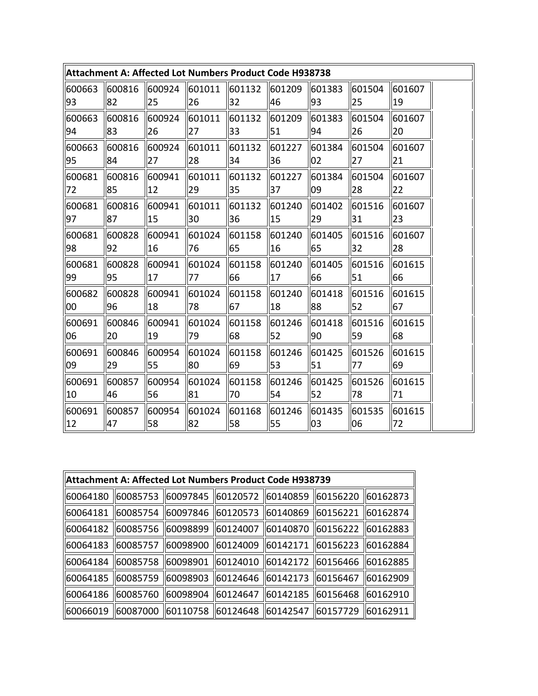|        |        |        | Attachment A: Affected Lot Numbers Product Code H938738 |        |        |        |        |        |
|--------|--------|--------|---------------------------------------------------------|--------|--------|--------|--------|--------|
| 600663 | 600816 | 600924 | 601011                                                  | 601132 | 601209 | 601383 | 601504 | 601607 |
| 93     | 82     | 25     | 26                                                      | 32     | 46     | 93     | 25     | 19     |
| 600663 | 600816 | 600924 | 601011                                                  | 601132 | 601209 | 601383 | 601504 | 601607 |
| 94     | 83     | 26     | 27                                                      | 33     | 51     | 94     | 26     | 20     |
| 600663 | 600816 | 600924 | 601011                                                  | 601132 | 601227 | 601384 | 601504 | 601607 |
| 95     | 84     | 27     | 28                                                      | 34     | 36     | 02     | 27     | 21     |
| 600681 | 600816 | 600941 | 601011                                                  | 601132 | 601227 | 601384 | 601504 | 601607 |
| 72     | 85     | 12     | 29                                                      | 35     | 37     | 09     | 28     | 22     |
| 600681 | 600816 | 600941 | 601011                                                  | 601132 | 601240 | 601402 | 601516 | 601607 |
| 97     | 87     | 15     | 30                                                      | 36     | 15     | 29     | 31     | 23     |
| 600681 | 600828 | 600941 | 601024                                                  | 601158 | 601240 | 601405 | 601516 | 601607 |
| 98     | 92     | 16     | 76                                                      | 65     | 16     | 65     | 32     | 28     |
| 600681 | 600828 | 600941 | 601024                                                  | 601158 | 601240 | 601405 | 601516 | 601615 |
| 99     | 95     | 17     | 77                                                      | 66     | 17     | 66     | 51     | 66     |
| 600682 | 600828 | 600941 | 1601024                                                 | 601158 | 601240 | 601418 | 601516 | 601615 |
| 00     | 96     | 18     | 78                                                      | 67     | 18     | 88     | 52     | 67     |
| 600691 | 600846 | 600941 | 601024                                                  | 601158 | 601246 | 601418 | 601516 | 601615 |
| 06     | 20     | 19     | 79                                                      | 68     | 52     | 90     | 59     | 68     |
| 600691 | 600846 | 600954 | 601024                                                  | 601158 | 601246 | 601425 | 601526 | 601615 |
| 09     | 29     | 55     | 80                                                      | 69     | 53     | 51     | 77     | 69     |
| 600691 | 600857 | 600954 | 601024                                                  | 601158 | 601246 | 601425 | 601526 | 601615 |
| 10     | 46     | 56     | 81                                                      | 70     | 54     | 52     | 78     | 71     |
| 600691 | 600857 | 600954 | 601024                                                  | 601168 | 601246 | 601435 | 601535 | 601615 |
| 12     | 47     | 58     | 82                                                      | 58     | 55     | 03     | 06     | 72     |

| Attachment A: Affected Lot Numbers Product Code H938739                    |  |                                                                 |  |
|----------------------------------------------------------------------------|--|-----------------------------------------------------------------|--|
| 60064180   60085753   60097845   60120572   60140859   60156220   60162873 |  |                                                                 |  |
| 60064181   60085754   60097846   60120573   60140869   60156221   60162874 |  |                                                                 |  |
| 60064182   60085756   60098899   60124007   60140870   60156222   60162883 |  |                                                                 |  |
| 60064183                                                                   |  | 60085757   60098900   60124009   60142171   60156223   60162884 |  |
| 60064184   60085758   60098901   60124010   60142172   60156466   60162885 |  |                                                                 |  |
| 60064185   60085759   60098903   60124646   60142173   60156467   60162909 |  |                                                                 |  |
| 60064186   60085760   60098904   60124647   60142185   60156468   60162910 |  |                                                                 |  |
| 60066019   60087000   60110758   60124648   60142547   60157729   60162911 |  |                                                                 |  |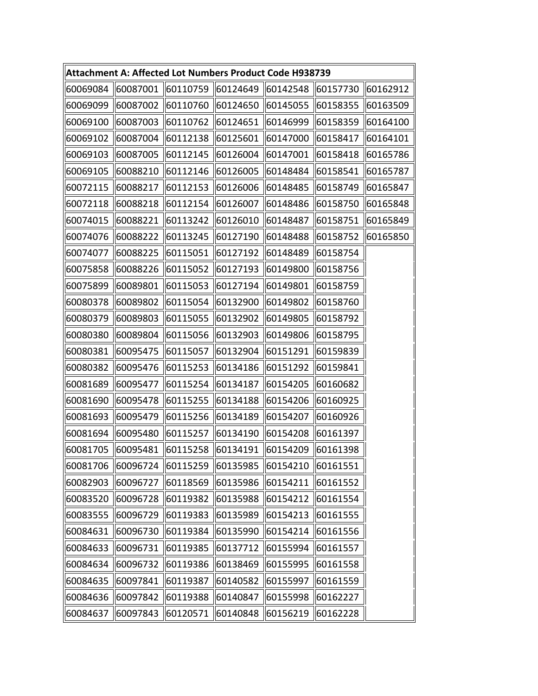|          | Attachment A: Affected Lot Numbers Product Code H938739 |                                           |          |          |          |          |
|----------|---------------------------------------------------------|-------------------------------------------|----------|----------|----------|----------|
| 60069084 | 60087001                                                | $\parallel$ 60110759 $\parallel$ 60124649 |          | 60142548 | 60157730 | 60162912 |
| 60069099 | 60087002                                                | 60110760                                  | 60124650 | 60145055 | 60158355 | 60163509 |
| 60069100 | 60087003                                                | 60110762                                  | 60124651 | 60146999 | 60158359 | 60164100 |
| 60069102 | 60087004                                                | 60112138                                  | 60125601 | 60147000 | 60158417 | 60164101 |
| 60069103 | 60087005                                                | 60112145                                  | 60126004 | 60147001 | 60158418 | 60165786 |
| 60069105 | 60088210                                                | 60112146                                  | 60126005 | 60148484 | 60158541 | 60165787 |
| 60072115 | 60088217                                                | 60112153                                  | 60126006 | 60148485 | 60158749 | 60165847 |
| 60072118 | 60088218                                                | 60112154                                  | 60126007 | 60148486 | 60158750 | 60165848 |
| 60074015 | 60088221                                                | 60113242                                  | 60126010 | 60148487 | 60158751 | 60165849 |
| 60074076 | 60088222                                                | 60113245                                  | 60127190 | 60148488 | 60158752 | 60165850 |
| 60074077 | 60088225                                                | 60115051                                  | 60127192 | 60148489 | 60158754 |          |
| 60075858 | 60088226                                                | 60115052                                  | 60127193 | 60149800 | 60158756 |          |
| 60075899 | 60089801                                                | 60115053                                  | 60127194 | 60149801 | 60158759 |          |
| 60080378 | 60089802                                                | 60115054                                  | 60132900 | 60149802 | 60158760 |          |
| 60080379 | 60089803                                                | 60115055                                  | 60132902 | 60149805 | 60158792 |          |
| 60080380 | 60089804                                                | 60115056                                  | 60132903 | 60149806 | 60158795 |          |
| 60080381 | 60095475                                                | 60115057                                  | 60132904 | 60151291 | 60159839 |          |
| 60080382 | 60095476                                                | 60115253                                  | 60134186 | 60151292 | 60159841 |          |
| 60081689 | 60095477                                                | 60115254                                  | 60134187 | 60154205 | 60160682 |          |
| 60081690 | 60095478                                                | 60115255                                  | 60134188 | 60154206 | 60160925 |          |
| 60081693 | 60095479                                                | 60115256                                  | 60134189 | 60154207 | 60160926 |          |
| 60081694 | 60095480                                                | 60115257                                  | 60134190 | 60154208 | 60161397 |          |
| 60081705 | 60095481                                                | 60115258                                  | 60134191 | 60154209 | 60161398 |          |
| 60081706 | 60096724                                                | 60115259 60135985                         |          | 60154210 | 60161551 |          |
| 60082903 | 60096727                                                | 60118569                                  | 60135986 | 60154211 | 60161552 |          |
| 60083520 | 60096728                                                | 60119382                                  | 60135988 | 60154212 | 60161554 |          |
| 60083555 | 60096729                                                | 60119383                                  | 60135989 | 60154213 | 60161555 |          |
| 60084631 | 60096730                                                | 60119384                                  | 60135990 | 60154214 | 60161556 |          |
| 60084633 | 60096731                                                | 60119385                                  | 60137712 | 60155994 | 60161557 |          |
| 60084634 | 60096732                                                | 60119386                                  | 60138469 | 60155995 | 60161558 |          |
| 60084635 | 60097841                                                | 60119387                                  | 60140582 | 60155997 | 60161559 |          |
| 60084636 | 60097842                                                | 60119388                                  | 60140847 | 60155998 | 60162227 |          |
| 60084637 | 60097843                                                | 60120571                                  | 60140848 | 60156219 | 60162228 |          |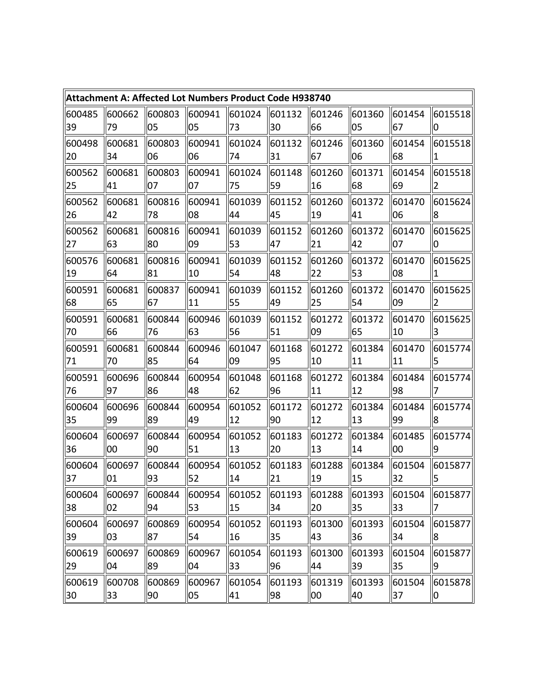|        |         |         |        |        | <b>Attachment A: Affected Lot Numbers Product Code H938740</b> |        |        |        |                |
|--------|---------|---------|--------|--------|----------------------------------------------------------------|--------|--------|--------|----------------|
| 600485 | 600662  | 600803  | 600941 | 601024 | 601132                                                         | 601246 | 601360 | 601454 | 6015518        |
| 39     | 79      | 05      | 05     | 73     | 30                                                             | 66     | 05     | 67     | 0              |
| 600498 | 1600681 | 600803  | 600941 | 601024 | 601132                                                         | 601246 | 601360 | 601454 | 6015518        |
| 20     | 34      | 06      | 06     | 74     | 31                                                             | 67     | 06     | 68     | 1              |
| 600562 | 600681  | 1600803 | 600941 | 601024 | 601148                                                         | 601260 | 601371 | 601454 | 6015518        |
| 25     | 41      | 07      | 07     | 75     | 59                                                             | 16     | 68     | 69     | $\overline{2}$ |
| 600562 | 600681  | 600816  | 600941 | 601039 | 601152                                                         | 601260 | 601372 | 601470 | 6015624        |
| 26     | 42      | 78      | 08     | 44     | 45                                                             | 19     | 41     | 06     | 8              |
| 600562 | 600681  | 1600816 | 600941 | 601039 | 601152                                                         | 601260 | 601372 | 601470 | 6015625        |
| 27     | 63      | 80      | 09     | 53     | 47                                                             | 21     | 42     | 07     | 0              |
| 600576 | 600681  | 600816  | 600941 | 601039 | 601152                                                         | 601260 | 601372 | 601470 | 6015625        |
| 19     | 64      | 81      | 10     | 54     | 48                                                             | 22     | 53     | 08     | 1              |
| 600591 | 600681  | 1600837 | 600941 | 601039 | 601152                                                         | 601260 | 601372 | 601470 | 6015625        |
| 68     | 65      | 67      | 11     | 55     | 49                                                             | 25     | 54     | 09     | 2              |
| 600591 | 600681  | 600844  | 600946 | 601039 | 601152                                                         | 601272 | 601372 | 601470 | 6015625        |
| 70     | 66      | 76      | 63     | 56     | 51                                                             | 09     | 65     | 10     | 3              |
| 600591 | 600681  | 600844  | 600946 | 601047 | 601168                                                         | 601272 | 601384 | 601470 | 6015774        |
| 71     | 70      | 85      | 64     | 09     | 95                                                             | 10     | 11     | 11     | 5              |
| 600591 | 600696  | 600844  | 600954 | 601048 | 601168                                                         | 601272 | 601384 | 601484 | 6015774        |
| 76     | 97      | 86      | 48     | 62     | 96                                                             | 11     | 12     | 98     | 7              |
| 600604 | 600696  | 600844  | 600954 | 601052 | 601172                                                         | 601272 | 601384 | 601484 | 6015774        |
| 35     | 99      | 89      | 49     | 12     | 90                                                             | 12     | 13     | 99     | 8              |
| 600604 | 600697  | 600844  | 600954 | 601052 | 601183                                                         | 601272 | 601384 | 601485 | 6015774        |
| 36     | 00      | 90      | 51     | 13     | 20                                                             | 13     | 14     | 00     | 9              |
| 600604 | 600697  | 600844  | 600954 | 601052 | 601183                                                         | 601288 | 601384 | 601504 | 6015877        |
| 37     | 01      | 93      | 52     | 14     | 21                                                             | 19     | 15     | 32     | 15             |
| 600604 | 1600697 | 600844  | 600954 | 601052 | 601193                                                         | 601288 | 601393 | 601504 | 6015877        |
| 38     | 02      | 94      | 53     | 15     | 34                                                             | 20     | 35     | 33     | 17             |
| 600604 | 600697  | 600869  | 600954 | 601052 | 601193                                                         | 601300 | 601393 | 601504 | 6015877        |
| 39     | 03      | 87      | 54     | 16     | 35                                                             | 43     | 36     | 34     | 8              |
| 600619 | 600697  | 600869  | 600967 | 601054 | 601193                                                         | 601300 | 601393 | 601504 | 6015877        |
| 29     | 04      | 89      | 04     | 33     | 96                                                             | 44     | 39     | 35     | 9              |
| 600619 | 600708  | 600869  | 600967 | 601054 | 601193                                                         | 601319 | 601393 | 601504 | 6015878        |
| 30     | 33      | 90      | 05     | 41     | 98                                                             | 00     | 40     | 37     | 0              |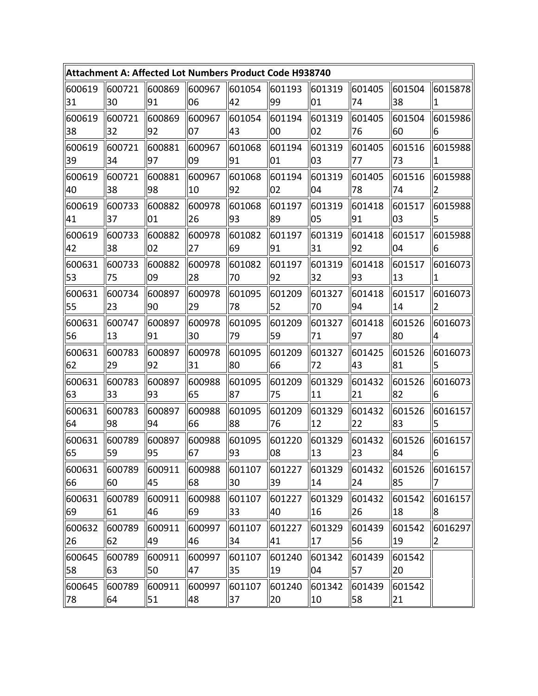|        |        |        |        |        | Attachment A: Affected Lot Numbers Product Code H938740 |        |        |        |         |
|--------|--------|--------|--------|--------|---------------------------------------------------------|--------|--------|--------|---------|
| 600619 | 600721 | 600869 | 600967 | 601054 | 601193                                                  | 601319 | 601405 | 601504 | 6015878 |
| 31     | 30     | 91     | 06     | 42     | 99                                                      | 01     | 74     | 38     | 1       |
| 600619 | 600721 | 600869 | 600967 | 601054 | 601194                                                  | 601319 | 601405 | 601504 | 6015986 |
| 38     | 32     | 92     | 07     | 43     | 00                                                      | 02     | 76     | 60     | 6       |
| 600619 | 600721 | 600881 | 600967 | 601068 | 601194                                                  | 601319 | 601405 | 601516 | 6015988 |
| 39     | 34     | 97     | 09     | 91     | 01                                                      | 03     | 77     | 73     | 1       |
| 600619 | 600721 | 600881 | 600967 | 601068 | 601194                                                  | 601319 | 601405 | 601516 | 6015988 |
| 40     | 38     | 98     | 10     | 92     | 02                                                      | 04     | 78     | 74     | 2       |
| 600619 | 600733 | 600882 | 600978 | 601068 | 601197                                                  | 601319 | 601418 | 601517 | 6015988 |
| 41     | 37     | 01     | 26     | 93     | 89                                                      | 05     | 91     | 03     | 5       |
| 600619 | 600733 | 600882 | 600978 | 601082 | 601197                                                  | 601319 | 601418 | 601517 | 6015988 |
| 42     | 38     | 02     | 27     | 69     | 91                                                      | 31     | 92     | 04     | 6       |
| 600631 | 600733 | 600882 | 600978 | 601082 | 601197                                                  | 601319 | 601418 | 601517 | 6016073 |
| 53     | 75     | 09     | 28     | 70     | 92                                                      | 32     | 93     | 13     | 1       |
| 600631 | 600734 | 600897 | 600978 | 601095 | 601209                                                  | 601327 | 601418 | 601517 | 6016073 |
| 55     | 23     | 90     | 29     | 78     | 52                                                      | 70     | 94     | 14     | 2       |
| 600631 | 600747 | 600897 | 600978 | 601095 | 601209                                                  | 601327 | 601418 | 601526 | 6016073 |
| 56     | 13     | 91     | 30     | 79     | 59                                                      | 71     | 97     | 80     | 4       |
| 600631 | 600783 | 600897 | 600978 | 601095 | 601209                                                  | 601327 | 601425 | 601526 | 6016073 |
| 62     | 29     | 92     | 31     | 80     | 66                                                      | 72     | 43     | 81     | 5       |
| 600631 | 600783 | 600897 | 600988 | 601095 | 601209                                                  | 601329 | 601432 | 601526 | 6016073 |
| 63     | 33     | 93     | 65     | 87     | 75                                                      | 11     | 21     | 82     | 6       |
| 600631 | 600783 | 600897 | 600988 | 601095 | 601209                                                  | 601329 | 601432 | 601526 | 6016157 |
| 64     | 98     | 94     | 66     | 88     | 76                                                      | 12     | 22     | 83     | 5       |
| 600631 | 600789 | 600897 | 600988 | 601095 | 601220                                                  | 601329 | 601432 | 601526 | 6016157 |
| 65     | 59     | 95     | 67     | 93     | 08                                                      | 13     | 23     | 84     | 16      |
| 600631 | 600789 | 600911 | 600988 | 601107 | 601227                                                  | 601329 | 601432 | 601526 | 6016157 |
| 66     | 60     | 45     | 68     | 30     | 39                                                      | 14     | 24     | 85     | 17      |
| 600631 | 600789 | 600911 | 600988 | 601107 | 601227                                                  | 601329 | 601432 | 601542 | 6016157 |
| 69     | 61     | 46     | 69     | 33     | 40                                                      | 16     | 26     | 18     | 18      |
| 600632 | 600789 | 600911 | 600997 | 601107 | 601227                                                  | 601329 | 601439 | 601542 | 6016297 |
| 26     | 62     | 49     | 46     | 34     | 41                                                      | 17     | 56     | 19     | 2       |
| 600645 | 600789 | 600911 | 600997 | 601107 | 601240                                                  | 601342 | 601439 | 601542 |         |
| 58     | 63     | 50     | 47     | 35     | 19                                                      | 04     | 57     | 20     |         |
| 600645 | 600789 | 600911 | 600997 | 601107 | 601240                                                  | 601342 | 601439 | 601542 |         |
| 78     | 64     | 51     | 48     | 37     | 20                                                      | 10     | 58     | 21     |         |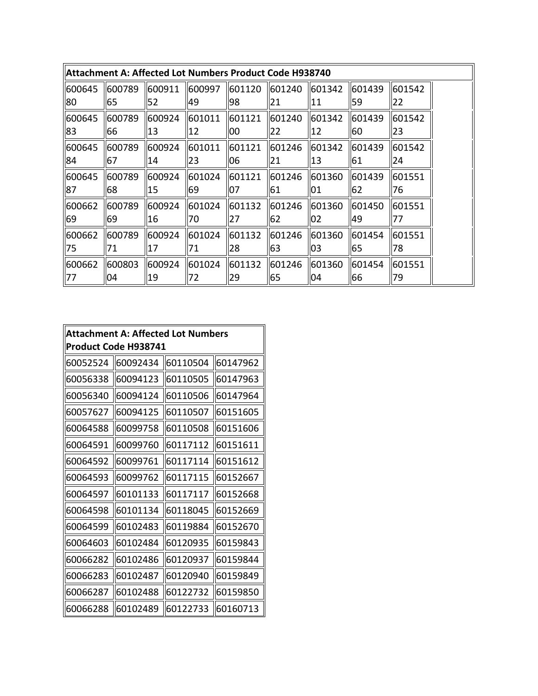|        | Attachment A: Affected Lot Numbers Product Code H938740 |           |         |        |              |              |        |        |
|--------|---------------------------------------------------------|-----------|---------|--------|--------------|--------------|--------|--------|
| 600645 | 600789                                                  | 1600911   | 1600997 | 601120 | 601240       | 601342       | 601439 | 601542 |
| 80     | 65                                                      | I52       | 49      | 98     | $ 21\rangle$ | 11           | 59     | 22     |
| 600645 | 600789                                                  | 600924    | 601011  | 601121 | 601240       | 601342       | 601439 | 601542 |
| 83     | 66                                                      | <b>13</b> | 12      | 100    | 22           | 12           | 60     | 23     |
| 600645 | 600789                                                  | 600924    | 601011  | 601121 | 601246       | 601342       | 601439 | 601542 |
| 84     | 67                                                      | 14        | 23      | 06     | 21           | <b>13</b>    | 61     | 24     |
| 600645 | 600789                                                  | 600924    | 601024  | 601121 | 601246       | 601360       | 601439 | 601551 |
| 87     | 68                                                      | 15        | 69      | 07     | 61           | 01           | 62     | 76     |
| 600662 | 600789                                                  | 600924    | 601024  | 601132 | 601246       | 601360       | 601450 | 601551 |
| 69     | 69                                                      | 16        | 170     | 27     | 162          | $ 02\rangle$ | 49     | 77     |
| 600662 | 600789                                                  | 600924    | 601024  | 601132 | 1601246      | 601360       | 601454 | 601551 |
| 75     | 71                                                      | 17        | 171     | 28     | 163          | 103          | 65     | 78     |
| 600662 | 600803                                                  | 600924    | 601024  | 601132 | 601246       | 601360       | 601454 | 601551 |
| 77     | 04                                                      | 19        | 72      | 29     | 65           | 04           | 66     | 79     |

| <b>Attachment A: Affected Lot Numbers</b><br>Product Code H938741 |          |          |          |  |  |  |  |
|-------------------------------------------------------------------|----------|----------|----------|--|--|--|--|
| 60052524                                                          | 60092434 | 60110504 | 60147962 |  |  |  |  |
| 60056338                                                          | 60094123 | 60110505 | 60147963 |  |  |  |  |
| 60056340                                                          | 60094124 | 60110506 | 60147964 |  |  |  |  |
| 60057627                                                          | 60094125 | 60110507 | 60151605 |  |  |  |  |
| 60064588                                                          | 60099758 | 60110508 | 60151606 |  |  |  |  |
| 60064591                                                          | 60099760 | 60117112 | 60151611 |  |  |  |  |
| 60064592                                                          | 60099761 | 60117114 | 60151612 |  |  |  |  |
| 60064593                                                          | 60099762 | 60117115 | 60152667 |  |  |  |  |
| 60064597                                                          | 60101133 | 60117117 | 60152668 |  |  |  |  |
| 60064598                                                          | 60101134 | 60118045 | 60152669 |  |  |  |  |
| 60064599                                                          | 60102483 | 60119884 | 60152670 |  |  |  |  |
| 60064603                                                          | 60102484 | 60120935 | 60159843 |  |  |  |  |
| 60066282                                                          | 60102486 | 60120937 | 60159844 |  |  |  |  |
| 60066283                                                          | 60102487 | 60120940 | 60159849 |  |  |  |  |
| 60066287                                                          | 60102488 | 60122732 | 60159850 |  |  |  |  |
| 60066288                                                          | 60102489 | 60122733 | 60160713 |  |  |  |  |